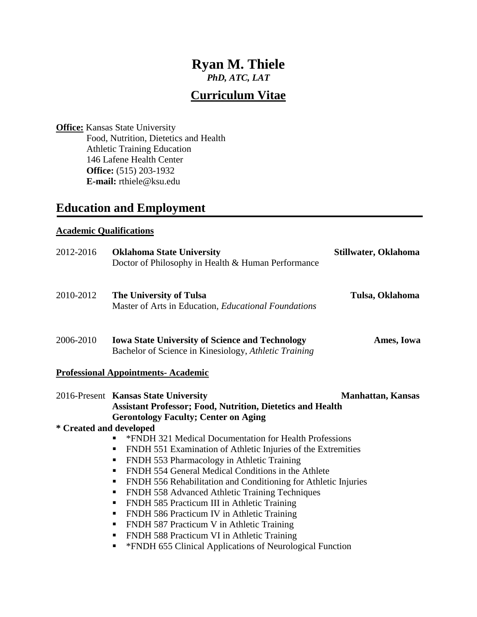# **Ryan M. Thiele**

*PhD, ATC, LAT*

## **Curriculum Vitae**

**Office:** Kansas State University Food, Nutrition, Dietetics and Health Athletic Training Education 146 Lafene Health Center **Office:** (515) 203-1932 **E-mail:** rthiele@ksu.edu

## **Education and Employment**

#### **Academic Qualifications**

| 2012-2016               | <b>Oklahoma State University</b><br>Doctor of Philosophy in Health & Human Performance                                        | Stillwater, Oklahoma     |
|-------------------------|-------------------------------------------------------------------------------------------------------------------------------|--------------------------|
| 2010-2012               | The University of Tulsa<br>Master of Arts in Education, Educational Foundations                                               | Tulsa, Oklahoma          |
| 2006-2010               | <b>Iowa State University of Science and Technology</b><br>Ames, Iowa<br>Bachelor of Science in Kinesiology, Athletic Training |                          |
|                         | <b>Professional Appointments- Academic</b>                                                                                    |                          |
|                         | 2016-Present Kansas State University<br><b>Assistant Professor; Food, Nutrition, Dietetics and Health</b>                     | <b>Manhattan, Kansas</b> |
| * Created and developed | <b>Gerontology Faculty; Center on Aging</b>                                                                                   |                          |
|                         | *FNDH 321 Medical Documentation for Health Professions                                                                        |                          |
|                         | FNDH 551 Examination of Athletic Injuries of the Extremities<br>$\blacksquare$                                                |                          |
|                         | FNDH 553 Pharmacology in Athletic Training<br>п                                                                               |                          |
|                         | FNDH 554 General Medical Conditions in the Athlete<br>п                                                                       |                          |
|                         | FNDH 556 Rehabilitation and Conditioning for Athletic Injuries<br>٠                                                           |                          |
|                         | FNDH 558 Advanced Athletic Training Techniques<br>٠                                                                           |                          |
|                         | FNDH 585 Practicum III in Athletic Training<br>ш                                                                              |                          |
|                         | FNDH 586 Practicum IV in Athletic Training<br>п                                                                               |                          |
|                         | FNDH 587 Practicum V in Athletic Training<br>п                                                                                |                          |
|                         | FNDH 588 Practicum VI in Athletic Training<br>п                                                                               |                          |
|                         | *FNDH 655 Clinical Applications of Neurological Function<br>п                                                                 |                          |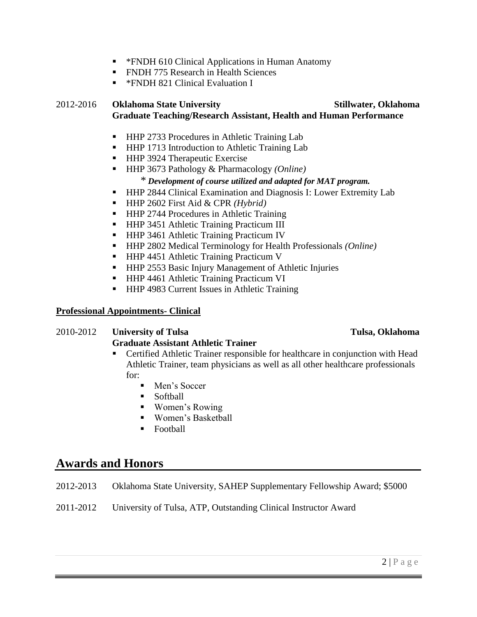- \*FNDH 610 Clinical Applications in Human Anatomy
- **FNDH 775 Research in Health Sciences**
- **\*FNDH 821 Clinical Evaluation I**

## 2012-2016 **Oklahoma State University Stillwater, Oklahoma Graduate Teaching/Research Assistant, Health and Human Performance**

- HHP 2733 Procedures in Athletic Training Lab
- HHP 1713 Introduction to Athletic Training Lab
- **HHP 3924 Therapeutic Exercise**
- HHP 3673 Pathology & Pharmacology *(Online) \* Development of course utilized and adapted for MAT program.*
- **HHP 2844 Clinical Examination and Diagnosis I: Lower Extremity Lab**
- HHP 2602 First Aid & CPR *(Hybrid)*
- HHP 2744 Procedures in Athletic Training
- **HHP 3451 Athletic Training Practicum III**
- **HHP 3461 Athletic Training Practicum IV**
- HHP 2802 Medical Terminology for Health Professionals *(Online)*
- HHP 4451 Athletic Training Practicum V
- **HHP 2553 Basic Injury Management of Athletic Injuries**
- **HHP 4461 Athletic Training Practicum VI**
- HHP 4983 Current Issues in Athletic Training

#### **Professional Appointments- Clinical**

## 2010-2012 **University of Tulsa Tulsa, Oklahoma Graduate Assistant Athletic Trainer**

- Certified Athletic Trainer responsible for healthcare in conjunction with Head Athletic Trainer, team physicians as well as all other healthcare professionals  $for:$ 
	- Men's Soccer
	- Softball
	- Women's Rowing
	- Women's Basketball
	- **Football**

## **Awards and Honors**

- 2012-2013 Oklahoma State University, SAHEP Supplementary Fellowship Award; \$5000
- 2011-2012 University of Tulsa, ATP, Outstanding Clinical Instructor Award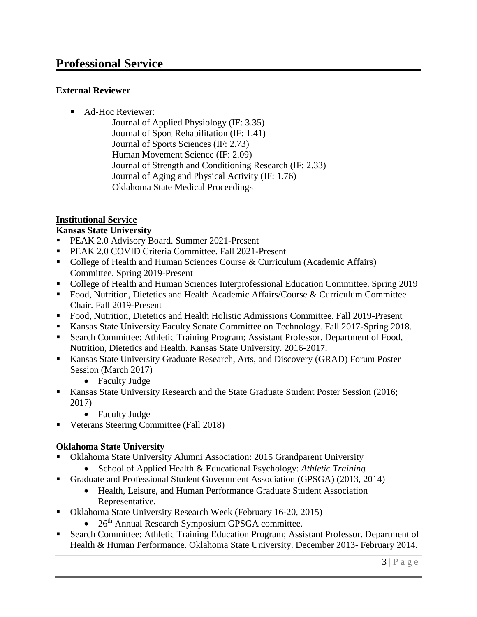## **Professional Service**

## **External Reviewer**

- Ad-Hoc Reviewer:
	- Journal of Applied Physiology (IF: 3.35) Journal of Sport Rehabilitation (IF: 1.41) Journal of Sports Sciences (IF: 2.73) Human Movement Science (IF: 2.09) Journal of Strength and Conditioning Research (IF: 2.33) Journal of Aging and Physical Activity (IF: 1.76) Oklahoma State Medical Proceedings

## **Institutional Service**

## **Kansas State University**

- **PEAK 2.0 Advisory Board. Summer 2021-Present**
- **PEAK 2.0 COVID Criteria Committee. Fall 2021-Present**
- College of Health and Human Sciences Course & Curriculum (Academic Affairs) Committee. Spring 2019-Present
- College of Health and Human Sciences Interprofessional Education Committee. Spring 2019
- Food, Nutrition, Dietetics and Health Academic Affairs/Course & Curriculum Committee Chair. Fall 2019-Present
- Food, Nutrition, Dietetics and Health Holistic Admissions Committee. Fall 2019-Present
- Kansas State University Faculty Senate Committee on Technology. Fall 2017-Spring 2018.
- Search Committee: Athletic Training Program; Assistant Professor. Department of Food, Nutrition, Dietetics and Health. Kansas State University. 2016-2017.
- Kansas State University Graduate Research, Arts, and Discovery (GRAD) Forum Poster Session (March 2017)
	- Faculty Judge
- Kansas State University Research and the State Graduate Student Poster Session (2016; 2017)
	- Faculty Judge
- Veterans Steering Committee (Fall 2018)

## **Oklahoma State University**

- Oklahoma State University Alumni Association: 2015 Grandparent University
	- School of Applied Health & Educational Psychology: *Athletic Training*
- Graduate and Professional Student Government Association (GPSGA) (2013, 2014)
	- Health, Leisure, and Human Performance Graduate Student Association Representative.
- Oklahoma State University Research Week (February 16-20, 2015)
	- $\bullet$  26<sup>th</sup> Annual Research Symposium GPSGA committee.
- Search Committee: Athletic Training Education Program; Assistant Professor. Department of Health & Human Performance. Oklahoma State University. December 2013- February 2014.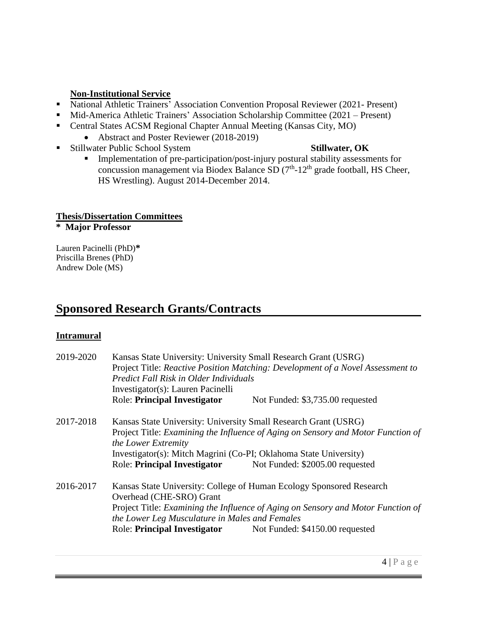## **Non-Institutional Service**

- National Athletic Trainers' Association Convention Proposal Reviewer (2021- Present)
- Mid-America Athletic Trainers' Association Scholarship Committee (2021 Present)
- Central States ACSM Regional Chapter Annual Meeting (Kansas City, MO)
	- Abstract and Poster Reviewer (2018-2019)
- Stillwater Public School System **Stillwater, OK**

**Implementation of pre-participation/post-injury postural stability assessments for** concussion management via Biodex Balance SD  $(7<sup>th</sup> - 12<sup>th</sup>$  grade football, HS Cheer, HS Wrestling). August 2014-December 2014.

## **Thesis/Dissertation Committees**

**\* Major Professor**

Lauren Pacinelli (PhD)**\*** Priscilla Brenes (PhD) Andrew Dole (MS)

## **Sponsored Research Grants/Contracts**

### **Intramural**

| 2019-2020 | Kansas State University: University Small Research Grant (USRG)<br>Project Title: Reactive Position Matching: Development of a Novel Assessment to<br>Predict Fall Risk in Older Individuals<br>Investigator(s): Lauren Pacinelli |                                                              |  |
|-----------|-----------------------------------------------------------------------------------------------------------------------------------------------------------------------------------------------------------------------------------|--------------------------------------------------------------|--|
|           | <b>Role: Principal Investigator</b>                                                                                                                                                                                               | Not Funded: \$3,735.00 requested                             |  |
| 2017-2018 | Kansas State University: University Small Research Grant (USRG)                                                                                                                                                                   |                                                              |  |
|           | Project Title: Examining the Influence of Aging on Sensory and Motor Function of<br>the Lower Extremity                                                                                                                           |                                                              |  |
|           | Investigator(s): Mitch Magrini (Co-PI; Oklahoma State University)                                                                                                                                                                 |                                                              |  |
|           | <b>Role: Principal Investigator</b>                                                                                                                                                                                               | Not Funded: \$2005.00 requested                              |  |
| 2016-2017 | Kansas State University: College of Human Ecology Sponsored Research<br>Overhead (CHE-SRO) Grant                                                                                                                                  |                                                              |  |
|           | Project Title: Examining the Influence of Aging on Sensory and Motor Function of<br>the Lower Leg Musculature in Males and Females                                                                                                |                                                              |  |
|           |                                                                                                                                                                                                                                   | Role: Principal Investigator Not Funded: \$4150.00 requested |  |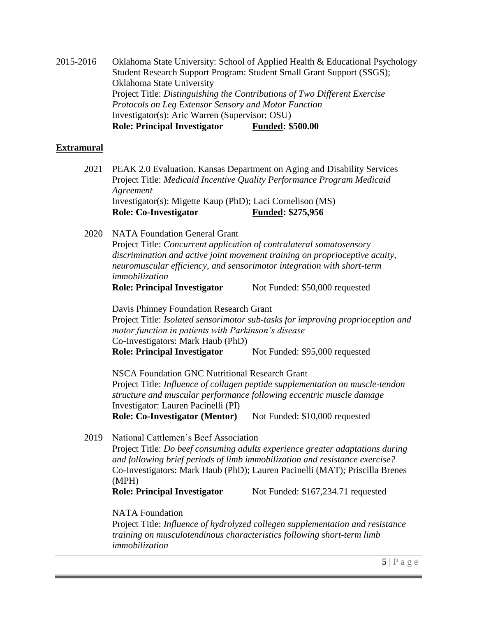2015-2016 Oklahoma State University: School of Applied Health & Educational Psychology Student Research Support Program: Student Small Grant Support (SSGS); Oklahoma State University Project Title: *Distinguishing the Contributions of Two Different Exercise Protocols on Leg Extensor Sensory and Motor Function* Investigator(s): Aric Warren (Supervisor; OSU) **Role: Principal Investigator Funded: \$500.00**

#### **Extramural**

2021 PEAK 2.0 Evaluation. Kansas Department on Aging and Disability Services Project Title: *Medicaid Incentive Quality Performance Program Medicaid Agreement* Investigator(s): Migette Kaup (PhD); Laci Cornelison (MS) **Role:** Co-Investigator Funded: \$275,956

2020 NATA Foundation General Grant

Project Title: *Concurrent application of contralateral somatosensory discrimination and active joint movement training on proprioceptive acuity, neuromuscular efficiency, and sensorimotor integration with short-term immobilization* 

**Role: Principal Investigator** Not Funded: \$50,000 requested

Davis Phinney Foundation Research Grant Project Title: *Isolated sensorimotor sub-tasks for improving proprioception and motor function in patients with Parkinson's disease* Co-Investigators: Mark Haub (PhD) **Role: Principal Investigator** Not Funded: \$95,000 requested

NSCA Foundation GNC Nutritional Research Grant Project Title: *Influence of collagen peptide supplementation on muscle-tendon structure and muscular performance following eccentric muscle damage* Investigator: Lauren Pacinelli (PI) **Role: Co-Investigator (Mentor)** Not Funded: \$10,000 requested

2019 National Cattlemen's Beef Association Project Title: *Do beef consuming adults experience greater adaptations during and following brief periods of limb immobilization and resistance exercise?* Co-Investigators: Mark Haub (PhD); Lauren Pacinelli (MAT); Priscilla Brenes (MPH) **Role: Principal Investigator** Not Funded: \$167,234.71 requested

NATA Foundation Project Title: *Influence of hydrolyzed collegen supplementation and resistance training on musculotendinous characteristics following short-term limb immobilization*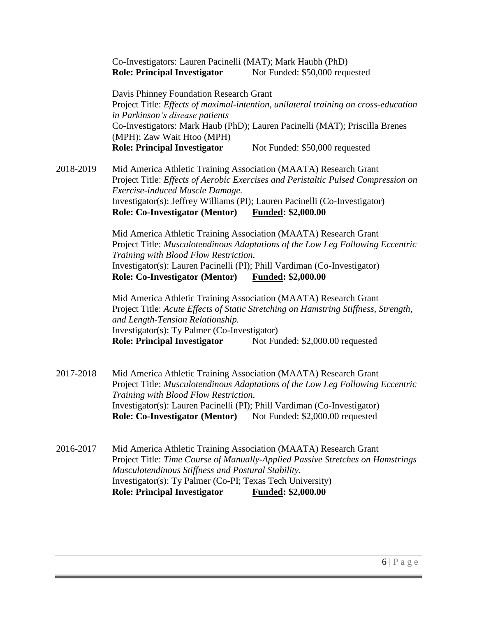Co-Investigators: Lauren Pacinelli (MAT); Mark Haubh (PhD) **Role: Principal Investigator** Not Funded: \$50,000 requested

Davis Phinney Foundation Research Grant Project Title: *Effects of maximal-intention, unilateral training on cross-education in Parkinson's disease patients* Co-Investigators: Mark Haub (PhD); Lauren Pacinelli (MAT); Priscilla Brenes (MPH); Zaw Wait Htoo (MPH) **Role: Principal Investigator** Not Funded: \$50,000 requested

2018-2019 Mid America Athletic Training Association (MAATA) Research Grant Project Title: *Effects of Aerobic Exercises and Peristaltic Pulsed Compression on Exercise-induced Muscle Damage.* Investigator(s): Jeffrey Williams (PI); Lauren Pacinelli (Co-Investigator) **Role: Co-Investigator (Mentor) Funded: \$2,000.00**

> Mid America Athletic Training Association (MAATA) Research Grant Project Title: *Musculotendinous Adaptations of the Low Leg Following Eccentric Training with Blood Flow Restriction.* Investigator(s): Lauren Pacinelli (PI); Phill Vardiman (Co-Investigator) **Role: Co-Investigator (Mentor) Funded: \$2,000.00**

Mid America Athletic Training Association (MAATA) Research Grant Project Title: *Acute Effects of Static Stretching on Hamstring Stiffness, Strength, and Length-Tension Relationship.* Investigator(s): Ty Palmer (Co-Investigator) **Role: Principal Investigator** Not Funded: \$2,000.00 requested

2017-2018 Mid America Athletic Training Association (MAATA) Research Grant Project Title: *Musculotendinous Adaptations of the Low Leg Following Eccentric Training with Blood Flow Restriction.* Investigator(s): Lauren Pacinelli (PI); Phill Vardiman (Co-Investigator) **Role: Co-Investigator (Mentor)** Not Funded: \$2,000.00 requested

2016-2017 Mid America Athletic Training Association (MAATA) Research Grant Project Title: *Time Course of Manually-Applied Passive Stretches on Hamstrings Musculotendinous Stiffness and Postural Stability.* Investigator(s): Ty Palmer (Co-PI; Texas Tech University) **Role: Principal Investigator Funded: \$2,000.00**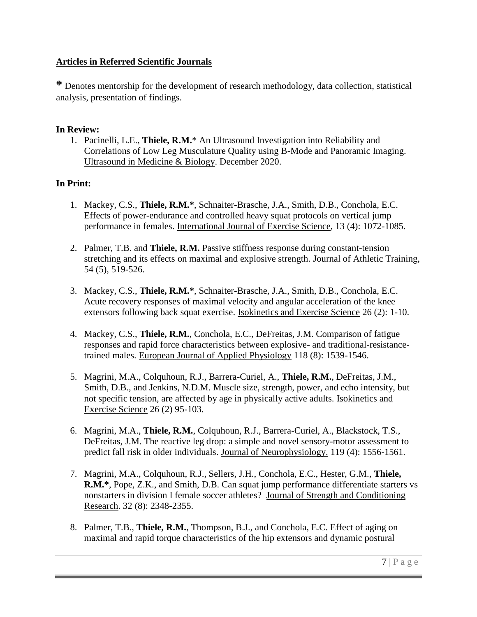## **Articles in Referred Scientific Journals**

**\*** Denotes mentorship for the development of research methodology, data collection, statistical analysis, presentation of findings.

## **In Review:**

1. Pacinelli, L.E., **Thiele, R.M.**\* An Ultrasound Investigation into Reliability and Correlations of Low Leg Musculature Quality using B-Mode and Panoramic Imaging. Ultrasound in Medicine & Biology. December 2020.

## **In Print:**

- 1. Mackey, C.S., **Thiele, R.M.\***, Schnaiter-Brasche, J.A., Smith, D.B., Conchola, E.C. Effects of power-endurance and controlled heavy squat protocols on vertical jump performance in females. International Journal of Exercise Science, 13 (4): 1072-1085.
- 2. Palmer, T.B. and **Thiele, R.M.** Passive stiffness response during constant-tension stretching and its effects on maximal and explosive strength. Journal of Athletic Training, 54 (5), 519-526.
- 3. Mackey, C.S., **Thiele, R.M.\***, Schnaiter-Brasche, J.A., Smith, D.B., Conchola, E.C. Acute recovery responses of maximal velocity and angular acceleration of the knee extensors following back squat exercise. Isokinetics and Exercise Science 26 (2): 1-10.
- 4. Mackey, C.S., **Thiele, R.M.**, Conchola, E.C., DeFreitas, J.M. Comparison of fatigue responses and rapid force characteristics between explosive- and traditional-resistancetrained males. European Journal of Applied Physiology 118 (8): 1539-1546.
- 5. Magrini, M.A., Colquhoun, R.J., Barrera-Curiel, A., **Thiele, R.M.**, DeFreitas, J.M., Smith, D.B., and Jenkins, N.D.M. Muscle size, strength, power, and echo intensity, but not specific tension, are affected by age in physically active adults. Isokinetics and Exercise Science 26 (2) 95-103.
- 6. Magrini, M.A., **Thiele, R.M.**, Colquhoun, R.J., Barrera-Curiel, A., Blackstock, T.S., DeFreitas, J.M. The reactive leg drop: a simple and novel sensory-motor assessment to predict fall risk in older individuals. Journal of Neurophysiology. 119 (4): 1556-1561.
- 7. Magrini, M.A., Colquhoun, R.J., Sellers, J.H., Conchola, E.C., Hester, G.M., **Thiele, R.M.\***, Pope, Z.K., and Smith, D.B. Can squat jump performance differentiate starters vs nonstarters in division I female soccer athletes? Journal of Strength and Conditioning Research. 32 (8): 2348-2355.
- 8. Palmer, T.B., **Thiele, R.M.**, Thompson, B.J., and Conchola, E.C. Effect of aging on maximal and rapid torque characteristics of the hip extensors and dynamic postural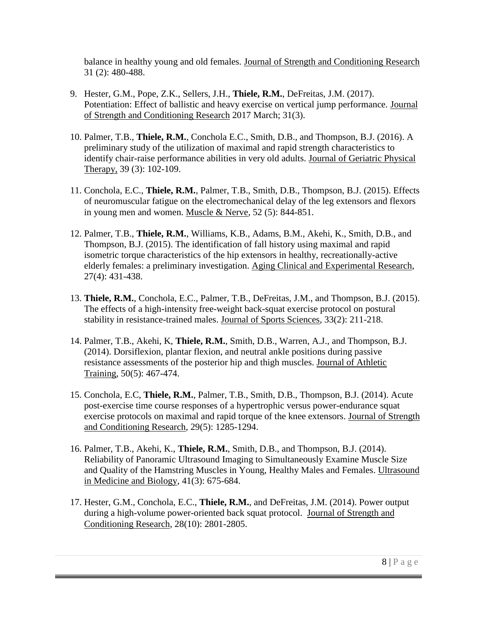balance in healthy young and old females. Journal of Strength and Conditioning Research 31 (2): 480-488.

- 9. Hester, G.M., Pope, Z.K., Sellers, J.H., **Thiele, R.M.**, DeFreitas, J.M. (2017). Potentiation: Effect of ballistic and heavy exercise on vertical jump performance. Journal of Strength and Conditioning Research 2017 March; 31(3).
- 10. Palmer, T.B., **Thiele, R.M.**, Conchola E.C., Smith, D.B., and Thompson, B.J. (2016). A preliminary study of the utilization of maximal and rapid strength characteristics to identify chair-raise performance abilities in very old adults. Journal of Geriatric Physical Therapy, 39 (3): 102-109.
- 11. Conchola, E.C., **Thiele, R.M.**, Palmer, T.B., Smith, D.B., Thompson, B.J. (2015). Effects of neuromuscular fatigue on the electromechanical delay of the leg extensors and flexors in young men and women. Muscle & Nerve, 52 (5): 844-851.
- 12. Palmer, T.B., **Thiele, R.M.**, Williams, K.B., Adams, B.M., Akehi, K., Smith, D.B., and Thompson, B.J. (2015). The identification of fall history using maximal and rapid isometric torque characteristics of the hip extensors in healthy, recreationally-active elderly females: a preliminary investigation. Aging Clinical and Experimental Research, 27(4): 431-438.
- 13. **Thiele, R.M.**, Conchola, E.C., Palmer, T.B., DeFreitas, J.M., and Thompson, B.J. (2015). The effects of a high-intensity free-weight back-squat exercise protocol on postural stability in resistance-trained males. Journal of Sports Sciences, 33(2): 211-218.
- 14. Palmer, T.B., Akehi, K, **Thiele, R.M.**, Smith, D.B., Warren, A.J., and Thompson, B.J. (2014). Dorsiflexion, plantar flexion, and neutral ankle positions during passive resistance assessments of the posterior hip and thigh muscles. Journal of Athletic Training, 50(5): 467-474.
- 15. Conchola, E.C, **Thiele, R.M.**, Palmer, T.B., Smith, D.B., Thompson, B.J. (2014). Acute post-exercise time course responses of a hypertrophic versus power-endurance squat exercise protocols on maximal and rapid torque of the knee extensors. Journal of Strength and Conditioning Research, 29(5): 1285-1294.
- 16. Palmer, T.B., Akehi, K., **Thiele, R.M.**, Smith, D.B., and Thompson, B.J. (2014). Reliability of Panoramic Ultrasound Imaging to Simultaneously Examine Muscle Size and Quality of the Hamstring Muscles in Young, Healthy Males and Females. Ultrasound in Medicine and Biology, 41(3): 675-684.
- 17. Hester, G.M., Conchola, E.C., **Thiele, R.M.**, and DeFreitas, J.M. (2014). Power output during a high-volume power-oriented back squat protocol. Journal of Strength and Conditioning Research, 28(10): 2801-2805.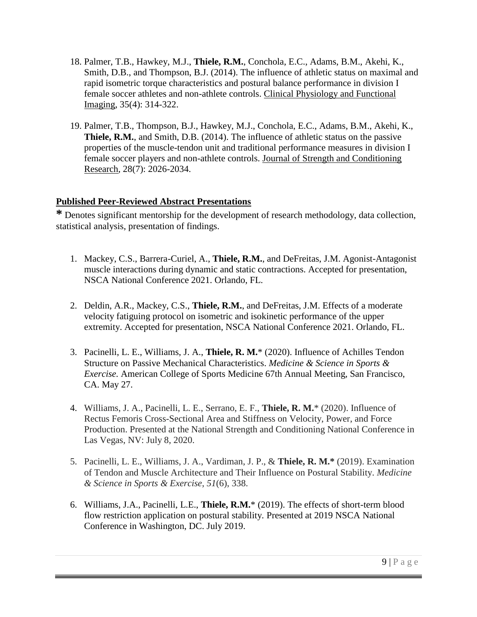- 18. Palmer, T.B., Hawkey, M.J., **Thiele, R.M.**, Conchola, E.C., Adams, B.M., Akehi, K., Smith, D.B., and Thompson, B.J. (2014). The influence of athletic status on maximal and rapid isometric torque characteristics and postural balance performance in division I female soccer athletes and non-athlete controls. Clinical Physiology and Functional Imaging, 35(4): 314-322.
- 19. Palmer, T.B., Thompson, B.J., Hawkey, M.J., Conchola, E.C., Adams, B.M., Akehi, K., **Thiele, R.M.**, and Smith, D.B. (2014). The influence of athletic status on the passive properties of the muscle-tendon unit and traditional performance measures in division I female soccer players and non-athlete controls. Journal of Strength and Conditioning Research, 28(7): 2026-2034.

## **Published Peer-Reviewed Abstract Presentations**

**\*** Denotes significant mentorship for the development of research methodology, data collection, statistical analysis, presentation of findings.

- 1. Mackey, C.S., Barrera-Curiel, A., **Thiele, R.M.**, and DeFreitas, J.M. Agonist-Antagonist muscle interactions during dynamic and static contractions. Accepted for presentation, NSCA National Conference 2021. Orlando, FL.
- 2. Deldin, A.R., Mackey, C.S., **Thiele, R.M.**, and DeFreitas, J.M. Effects of a moderate velocity fatiguing protocol on isometric and isokinetic performance of the upper extremity. Accepted for presentation, NSCA National Conference 2021. Orlando, FL.
- 3. Pacinelli, L. E., Williams, J. A., **Thiele, R. M.**\* (2020). Influence of Achilles Tendon Structure on Passive Mechanical Characteristics. *Medicine & Science in Sports & Exercise.* American College of Sports Medicine 67th Annual Meeting, San Francisco, CA. May 27.
- 4. Williams, J. A., Pacinelli, L. E., Serrano, E. F., **Thiele, R. M.**\* (2020). Influence of Rectus Femoris Cross-Sectional Area and Stiffness on Velocity, Power, and Force Production. Presented at the National Strength and Conditioning National Conference in Las Vegas, NV: July 8, 2020.
- 5. Pacinelli, L. E., Williams, J. A., Vardiman, J. P., & **Thiele, R. M.\*** (2019). Examination of Tendon and Muscle Architecture and Their Influence on Postural Stability. *Medicine & Science in Sports & Exercise*, *51*(6), 338.
- 6. Williams, J.A., Pacinelli, L.E., **Thiele, R.M.**\* (2019). The effects of short-term blood flow restriction application on postural stability. Presented at 2019 NSCA National Conference in Washington, DC. July 2019.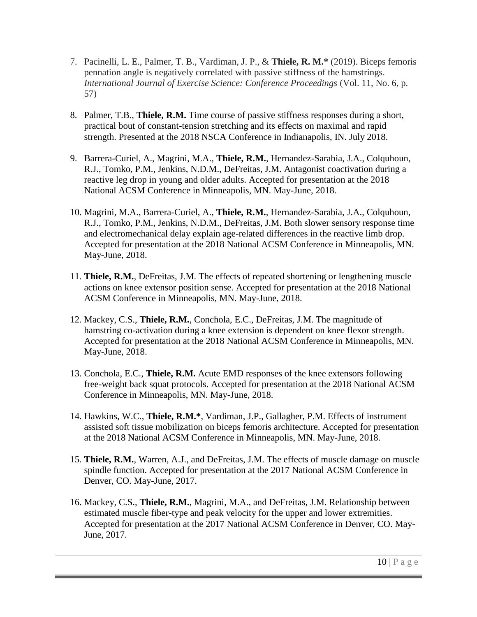- 7. Pacinelli, L. E., Palmer, T. B., Vardiman, J. P., & **Thiele, R. M.\*** (2019). Biceps femoris pennation angle is negatively correlated with passive stiffness of the hamstrings. *International Journal of Exercise Science: Conference Proceedings* (Vol. 11, No. 6, p. 57)
- 8. Palmer, T.B., **Thiele, R.M.** Time course of passive stiffness responses during a short, practical bout of constant-tension stretching and its effects on maximal and rapid strength. Presented at the 2018 NSCA Conference in Indianapolis, IN. July 2018.
- 9. Barrera-Curiel, A., Magrini, M.A., **Thiele, R.M.**, Hernandez-Sarabia, J.A., Colquhoun, R.J., Tomko, P.M., Jenkins, N.D.M., DeFreitas, J.M. Antagonist coactivation during a reactive leg drop in young and older adults. Accepted for presentation at the 2018 National ACSM Conference in Minneapolis, MN. May-June, 2018.
- 10. Magrini, M.A., Barrera-Curiel, A., **Thiele, R.M.**, Hernandez-Sarabia, J.A., Colquhoun, R.J., Tomko, P.M., Jenkins, N.D.M., DeFreitas, J.M. Both slower sensory response time and electromechanical delay explain age-related differences in the reactive limb drop. Accepted for presentation at the 2018 National ACSM Conference in Minneapolis, MN. May-June, 2018.
- 11. **Thiele, R.M.**, DeFreitas, J.M. The effects of repeated shortening or lengthening muscle actions on knee extensor position sense. Accepted for presentation at the 2018 National ACSM Conference in Minneapolis, MN. May-June, 2018.
- 12. Mackey, C.S., **Thiele, R.M.**, Conchola, E.C., DeFreitas, J.M. The magnitude of hamstring co-activation during a knee extension is dependent on knee flexor strength. Accepted for presentation at the 2018 National ACSM Conference in Minneapolis, MN. May-June, 2018.
- 13. Conchola, E.C., **Thiele, R.M.** Acute EMD responses of the knee extensors following free-weight back squat protocols. Accepted for presentation at the 2018 National ACSM Conference in Minneapolis, MN. May-June, 2018.
- 14. Hawkins, W.C., **Thiele, R.M.\***, Vardiman, J.P., Gallagher, P.M. Effects of instrument assisted soft tissue mobilization on biceps femoris architecture. Accepted for presentation at the 2018 National ACSM Conference in Minneapolis, MN. May-June, 2018.
- 15. **Thiele, R.M.**, Warren, A.J., and DeFreitas, J.M. The effects of muscle damage on muscle spindle function. Accepted for presentation at the 2017 National ACSM Conference in Denver, CO. May-June, 2017.
- 16. Mackey, C.S., **Thiele, R.M.**, Magrini, M.A., and DeFreitas, J.M. Relationship between estimated muscle fiber-type and peak velocity for the upper and lower extremities. Accepted for presentation at the 2017 National ACSM Conference in Denver, CO. May-June, 2017.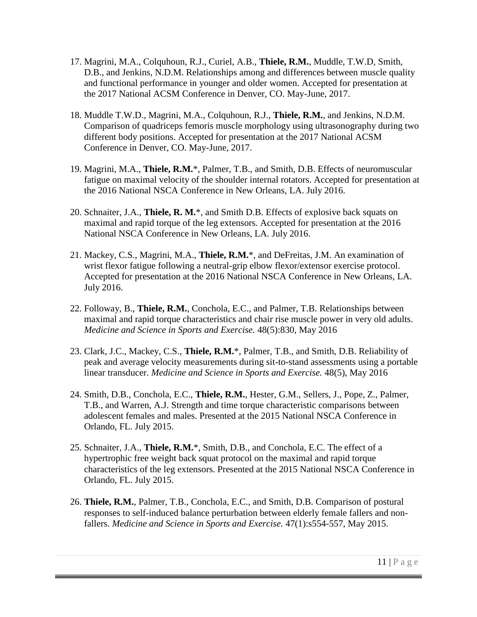- 17. Magrini, M.A., Colquhoun, R.J., Curiel, A.B., **Thiele, R.M.**, Muddle, T.W.D, Smith, D.B., and Jenkins, N.D.M. Relationships among and differences between muscle quality and functional performance in younger and older women. Accepted for presentation at the 2017 National ACSM Conference in Denver, CO. May-June, 2017.
- 18. Muddle T.W.D., Magrini, M.A., Colquhoun, R.J., **Thiele, R.M.**, and Jenkins, N.D.M. Comparison of quadriceps femoris muscle morphology using ultrasonography during two different body positions. Accepted for presentation at the 2017 National ACSM Conference in Denver, CO. May-June, 2017.
- 19. Magrini, M.A., **Thiele, R.M.**\*, Palmer, T.B., and Smith, D.B. Effects of neuromuscular fatigue on maximal velocity of the shoulder internal rotators. Accepted for presentation at the 2016 National NSCA Conference in New Orleans, LA. July 2016.
- 20. Schnaiter, J.A., **Thiele, R. M.**\*, and Smith D.B. Effects of explosive back squats on maximal and rapid torque of the leg extensors. Accepted for presentation at the 2016 National NSCA Conference in New Orleans, LA. July 2016.
- 21. Mackey, C.S., Magrini, M.A., **Thiele, R.M.**\*, and DeFreitas, J.M. An examination of wrist flexor fatigue following a neutral-grip elbow flexor/extensor exercise protocol. Accepted for presentation at the 2016 National NSCA Conference in New Orleans, LA. July 2016.
- 22. Followay, B., **Thiele, R.M.**, Conchola, E.C., and Palmer, T.B. Relationships between maximal and rapid torque characteristics and chair rise muscle power in very old adults. *Medicine and Science in Sports and Exercise.* 48(5):830, May 2016
- 23. Clark, J.C., Mackey, C.S., **Thiele, R.M.**\*, Palmer, T.B., and Smith, D.B. Reliability of peak and average velocity measurements during sit-to-stand assessments using a portable linear transducer. *Medicine and Science in Sports and Exercise.* 48(5), May 2016
- 24. Smith, D.B., Conchola, E.C., **Thiele, R.M.**, Hester, G.M., Sellers, J., Pope, Z., Palmer, T.B., and Warren, A.J. Strength and time torque characteristic comparisons between adolescent females and males. Presented at the 2015 National NSCA Conference in Orlando, FL. July 2015.
- 25. Schnaiter, J.A., **Thiele, R.M.**\*, Smith, D.B., and Conchola, E.C. The effect of a hypertrophic free weight back squat protocol on the maximal and rapid torque characteristics of the leg extensors. Presented at the 2015 National NSCA Conference in Orlando, FL. July 2015.
- 26. **Thiele, R.M.**, Palmer, T.B., Conchola, E.C., and Smith, D.B. Comparison of postural responses to self-induced balance perturbation between elderly female fallers and nonfallers. *Medicine and Science in Sports and Exercise.* 47(1):s554-557, May 2015.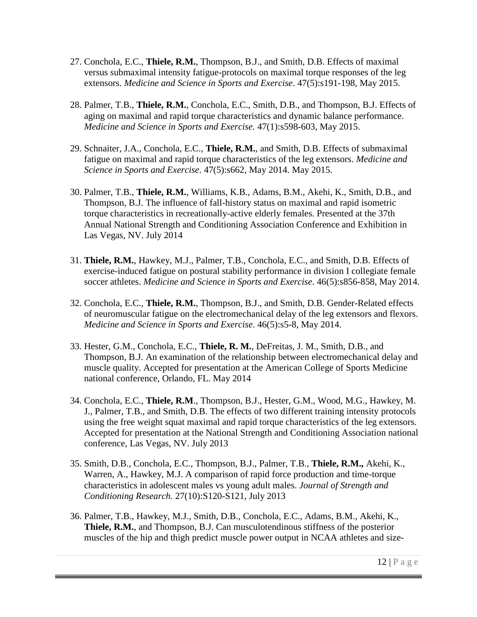- 27. Conchola, E.C., **Thiele, R.M.**, Thompson, B.J., and Smith, D.B. Effects of maximal versus submaximal intensity fatigue-protocols on maximal torque responses of the leg extensors. *Medicine and Science in Sports and Exercise*. 47(5):s191-198, May 2015.
- 28. Palmer, T.B., **Thiele, R.M.**, Conchola, E.C., Smith, D.B., and Thompson, B.J. Effects of aging on maximal and rapid torque characteristics and dynamic balance performance. *Medicine and Science in Sports and Exercise.* 47(1):s598-603, May 2015.
- 29. Schnaiter, J.A., Conchola, E.C., **Thiele, R.M.**, and Smith, D.B. Effects of submaximal fatigue on maximal and rapid torque characteristics of the leg extensors. *Medicine and Science in Sports and Exercise*. 47(5):s662, May 2014. May 2015.
- 30. Palmer, T.B., **Thiele, R.M.**, Williams, K.B., Adams, B.M., Akehi, K., Smith, D.B., and Thompson, B.J. The influence of fall-history status on maximal and rapid isometric torque characteristics in recreationally-active elderly females. Presented at the 37th Annual National Strength and Conditioning Association Conference and Exhibition in Las Vegas, NV. July 2014
- 31. **Thiele, R.M.**, Hawkey, M.J., Palmer, T.B., Conchola, E.C., and Smith, D.B. Effects of exercise-induced fatigue on postural stability performance in division I collegiate female soccer athletes. *Medicine and Science in Sports and Exercise*. 46(5):s856-858, May 2014.
- 32. Conchola, E.C., **Thiele, R.M.**, Thompson, B.J., and Smith, D.B. Gender-Related effects of neuromuscular fatigue on the electromechanical delay of the leg extensors and flexors. *Medicine and Science in Sports and Exercise*. 46(5):s5-8, May 2014.
- 33. Hester, G.M., Conchola, E.C., **Thiele, R. M.**, DeFreitas, J. M., Smith, D.B., and Thompson, B.J. An examination of the relationship between electromechanical delay and muscle quality. Accepted for presentation at the American College of Sports Medicine national conference, Orlando, FL. May 2014
- 34. Conchola, E.C., **Thiele, R.M**., Thompson, B.J., Hester, G.M., Wood, M.G., Hawkey, M. J., Palmer, T.B., and Smith, D.B. The effects of two different training intensity protocols using the free weight squat maximal and rapid torque characteristics of the leg extensors. Accepted for presentation at the National Strength and Conditioning Association national conference, Las Vegas, NV. July 2013
- 35. Smith, D.B., Conchola, E.C., Thompson, B.J., Palmer, T.B., **Thiele, R.M.,** Akehi, K., Warren, A., Hawkey, M.J. A comparison of rapid force production and time-torque characteristics in adolescent males vs young adult males. *Journal of Strength and Conditioning Research.* 27(10):S120-S121, July 2013
- 36. Palmer, T.B., Hawkey, M.J., Smith, D.B., Conchola, E.C., Adams, B.M., Akehi, K., **Thiele, R.M.**, and Thompson, B.J. Can musculotendinous stiffness of the posterior muscles of the hip and thigh predict muscle power output in NCAA athletes and size-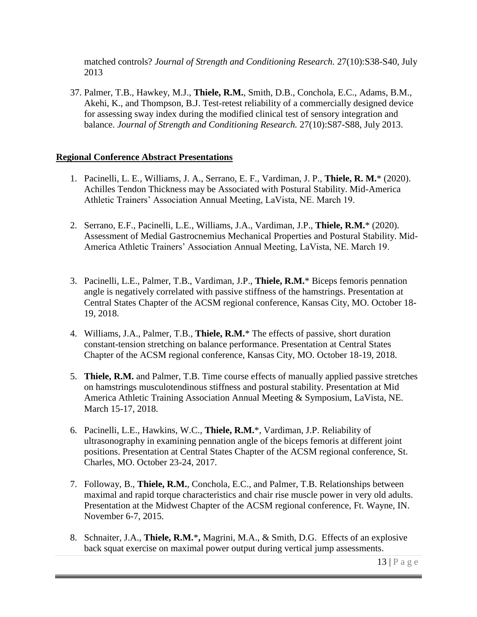matched controls? *Journal of Strength and Conditioning Research.* 27(10):S38-S40, July 2013

37. Palmer, T.B., Hawkey, M.J., **Thiele, R.M.**, Smith, D.B., Conchola, E.C., Adams, B.M., Akehi, K., and Thompson, B.J. Test-retest reliability of a commercially designed device for assessing sway index during the modified clinical test of sensory integration and balance. *Journal of Strength and Conditioning Research.* 27(10):S87-S88, July 2013.

## **Regional Conference Abstract Presentations**

- 1. Pacinelli, L. E*.,* Williams, J. A., Serrano, E. F., Vardiman, J. P., **Thiele, R. M.**\* (2020). Achilles Tendon Thickness may be Associated with Postural Stability. Mid-America Athletic Trainers' Association Annual Meeting, LaVista, NE. March 19.
- 2. Serrano, E.F., Pacinelli, L.E., Williams, J.A., Vardiman, J.P., **Thiele, R.M.**\* (2020). Assessment of Medial Gastrocnemius Mechanical Properties and Postural Stability. Mid-America Athletic Trainers' Association Annual Meeting, LaVista, NE. March 19.
- 3. Pacinelli, L.E., Palmer, T.B., Vardiman, J.P., **Thiele, R.M.**\* Biceps femoris pennation angle is negatively correlated with passive stiffness of the hamstrings. Presentation at Central States Chapter of the ACSM regional conference, Kansas City, MO. October 18- 19, 2018.
- 4. Williams, J.A., Palmer, T.B., **Thiele, R.M.**\* The effects of passive, short duration constant-tension stretching on balance performance. Presentation at Central States Chapter of the ACSM regional conference, Kansas City, MO. October 18-19, 2018.
- 5. **Thiele, R.M.** and Palmer, T.B. Time course effects of manually applied passive stretches on hamstrings musculotendinous stiffness and postural stability. Presentation at Mid America Athletic Training Association Annual Meeting & Symposium, LaVista, NE. March 15-17, 2018.
- 6. Pacinelli, L.E., Hawkins, W.C., **Thiele, R.M.**\*, Vardiman, J.P. Reliability of ultrasonography in examining pennation angle of the biceps femoris at different joint positions. Presentation at Central States Chapter of the ACSM regional conference, St. Charles, MO. October 23-24, 2017.
- 7. Followay, B., **Thiele, R.M.**, Conchola, E.C., and Palmer, T.B. Relationships between maximal and rapid torque characteristics and chair rise muscle power in very old adults. Presentation at the Midwest Chapter of the ACSM regional conference, Ft. Wayne, IN. November 6-7, 2015.
- 8. Schnaiter, J.A., **Thiele, R.M.**\***,** Magrini, M.A., & Smith, D.G. Effects of an explosive back squat exercise on maximal power output during vertical jump assessments.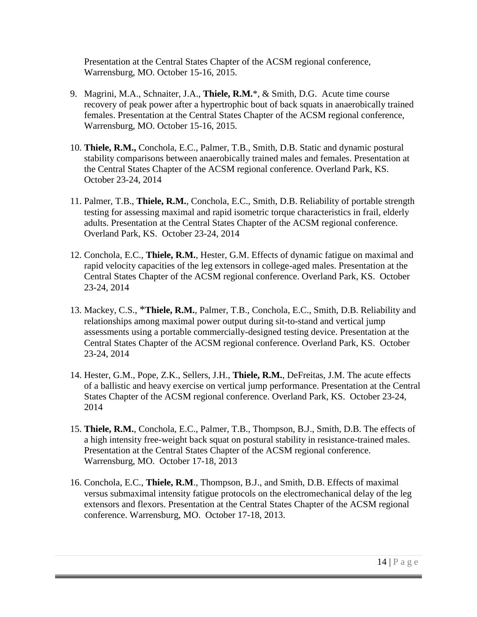Presentation at the Central States Chapter of the ACSM regional conference, Warrensburg, MO. October 15-16, 2015.

- 9. Magrini, M.A., Schnaiter, J.A., **Thiele, R.M.**\*, & Smith, D.G. Acute time course recovery of peak power after a hypertrophic bout of back squats in anaerobically trained females. Presentation at the Central States Chapter of the ACSM regional conference, Warrensburg, MO. October 15-16, 2015.
- 10. **Thiele, R.M.,** Conchola, E.C., Palmer, T.B., Smith, D.B. Static and dynamic postural stability comparisons between anaerobically trained males and females. Presentation at the Central States Chapter of the ACSM regional conference. Overland Park, KS. October 23-24, 2014
- 11. Palmer, T.B., **Thiele, R.M.**, Conchola, E.C., Smith, D.B. Reliability of portable strength testing for assessing maximal and rapid isometric torque characteristics in frail, elderly adults. Presentation at the Central States Chapter of the ACSM regional conference. Overland Park, KS. October 23-24, 2014
- 12. Conchola, E.C., **Thiele, R.M.**, Hester, G.M. Effects of dynamic fatigue on maximal and rapid velocity capacities of the leg extensors in college-aged males. Presentation at the Central States Chapter of the ACSM regional conference. Overland Park, KS. October 23-24, 2014
- 13. Mackey, C.S., \***Thiele, R.M.**, Palmer, T.B., Conchola, E.C., Smith, D.B. Reliability and relationships among maximal power output during sit-to-stand and vertical jump assessments using a portable commercially-designed testing device. Presentation at the Central States Chapter of the ACSM regional conference. Overland Park, KS. October 23-24, 2014
- 14. Hester, G.M., Pope, Z.K., Sellers, J.H., **Thiele, R.M.**, DeFreitas, J.M. The acute effects of a ballistic and heavy exercise on vertical jump performance. Presentation at the Central States Chapter of the ACSM regional conference. Overland Park, KS. October 23-24, 2014
- 15. **Thiele, R.M.**, Conchola, E.C., Palmer, T.B., Thompson, B.J., Smith, D.B. The effects of a high intensity free-weight back squat on postural stability in resistance-trained males. Presentation at the Central States Chapter of the ACSM regional conference. Warrensburg, MO. October 17-18, 2013
- 16. Conchola, E.C., **Thiele, R.M**., Thompson, B.J., and Smith, D.B. Effects of maximal versus submaximal intensity fatigue protocols on the electromechanical delay of the leg extensors and flexors. Presentation at the Central States Chapter of the ACSM regional conference. Warrensburg, MO. October 17-18, 2013.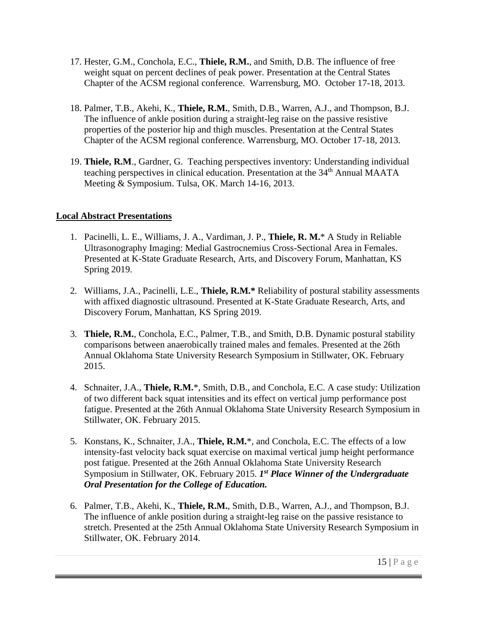- 17. Hester, G.M., Conchola, E.C., **Thiele, R.M.**, and Smith, D.B. The influence of free weight squat on percent declines of peak power. Presentation at the Central States Chapter of the ACSM regional conference. Warrensburg, MO. October 17-18, 2013.
- 18. Palmer, T.B., Akehi, K., **Thiele, R.M.**, Smith, D.B., Warren, A.J., and Thompson, B.J. The influence of ankle position during a straight-leg raise on the passive resistive properties of the posterior hip and thigh muscles. Presentation at the Central States Chapter of the ACSM regional conference. Warrensburg, MO. October 17-18, 2013.
- 19. **Thiele, R.M**., Gardner, G. Teaching perspectives inventory: Understanding individual teaching perspectives in clinical education. Presentation at the 34<sup>th</sup> Annual MAATA Meeting & Symposium. Tulsa, OK. March 14-16, 2013.

## **Local Abstract Presentations**

- 1. Pacinelli, L. E., Williams, J. A., Vardiman, J. P., **Thiele, R. M.**\* A Study in Reliable Ultrasonography Imaging: Medial Gastrocnemius Cross-Sectional Area in Females. Presented at K-State Graduate Research, Arts, and Discovery Forum, Manhattan, KS Spring 2019.
- 2. Williams, J.A., Pacinelli, L.E., **Thiele, R.M.\*** Reliability of postural stability assessments with affixed diagnostic ultrasound. Presented at K-State Graduate Research, Arts, and Discovery Forum, Manhattan, KS Spring 2019.
- 3. **Thiele, R.M.**, Conchola, E.C., Palmer, T.B., and Smith, D.B. Dynamic postural stability comparisons between anaerobically trained males and females. Presented at the 26th Annual Oklahoma State University Research Symposium in Stillwater, OK. February 2015.
- 4. Schnaiter, J.A., **Thiele, R.M.**\*, Smith, D.B., and Conchola, E.C. A case study: Utilization of two different back squat intensities and its effect on vertical jump performance post fatigue. Presented at the 26th Annual Oklahoma State University Research Symposium in Stillwater, OK. February 2015.
- 5. Konstans, K., Schnaiter, J.A., **Thiele, R.M.**\*, and Conchola, E.C. The effects of a low intensity-fast velocity back squat exercise on maximal vertical jump height performance post fatigue. Presented at the 26th Annual Oklahoma State University Research Symposium in Stillwater, OK. February 2015. *1 st Place Winner of the Undergraduate Oral Presentation for the College of Education.*
- 6. Palmer, T.B., Akehi, K., **Thiele, R.M.**, Smith, D.B., Warren, A.J., and Thompson, B.J. The influence of ankle position during a straight-leg raise on the passive resistance to stretch. Presented at the 25th Annual Oklahoma State University Research Symposium in Stillwater, OK. February 2014.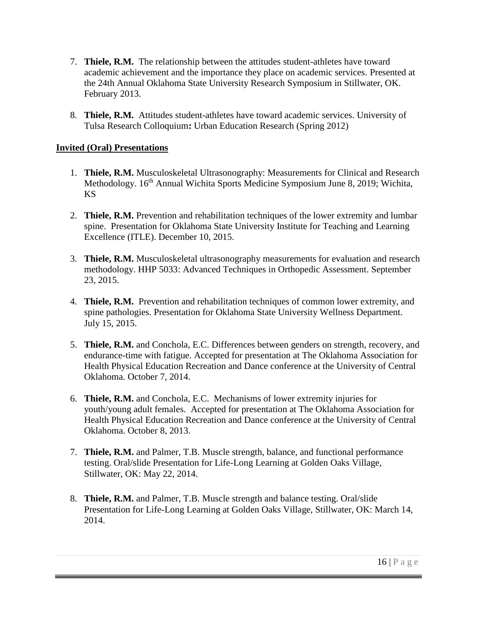- 7. **Thiele, R.M.** The relationship between the attitudes student-athletes have toward academic achievement and the importance they place on academic services. Presented at the 24th Annual Oklahoma State University Research Symposium in Stillwater, OK. February 2013.
- 8. **Thiele, R.M.** Attitudes student-athletes have toward academic services. University of Tulsa Research Colloquium**:** Urban Education Research (Spring 2012)

### **Invited (Oral) Presentations**

- 1. **Thiele, R.M.** Musculoskeletal Ultrasonography: Measurements for Clinical and Research Methodology. 16<sup>th</sup> Annual Wichita Sports Medicine Symposium June 8, 2019; Wichita, KS
- 2. **Thiele, R.M.** Prevention and rehabilitation techniques of the lower extremity and lumbar spine. Presentation for Oklahoma State University Institute for Teaching and Learning Excellence (ITLE). December 10, 2015.
- 3. **Thiele, R.M.** Musculoskeletal ultrasonography measurements for evaluation and research methodology. HHP 5033: Advanced Techniques in Orthopedic Assessment. September 23, 2015.
- 4. **Thiele, R.M.** Prevention and rehabilitation techniques of common lower extremity, and spine pathologies. Presentation for Oklahoma State University Wellness Department. July 15, 2015.
- 5. **Thiele, R.M.** and Conchola, E.C. Differences between genders on strength, recovery, and endurance-time with fatigue. Accepted for presentation at The Oklahoma Association for Health Physical Education Recreation and Dance conference at the University of Central Oklahoma. October 7, 2014.
- 6. **Thiele, R.M.** and Conchola, E.C. Mechanisms of lower extremity injuries for youth/young adult females. Accepted for presentation at The Oklahoma Association for Health Physical Education Recreation and Dance conference at the University of Central Oklahoma. October 8, 2013.
- 7. **Thiele, R.M.** and Palmer, T.B. Muscle strength, balance, and functional performance testing. Oral/slide Presentation for Life-Long Learning at Golden Oaks Village, Stillwater, OK: May 22, 2014.
- 8. **Thiele, R.M.** and Palmer, T.B. Muscle strength and balance testing. Oral/slide Presentation for Life-Long Learning at Golden Oaks Village, Stillwater, OK: March 14, 2014.